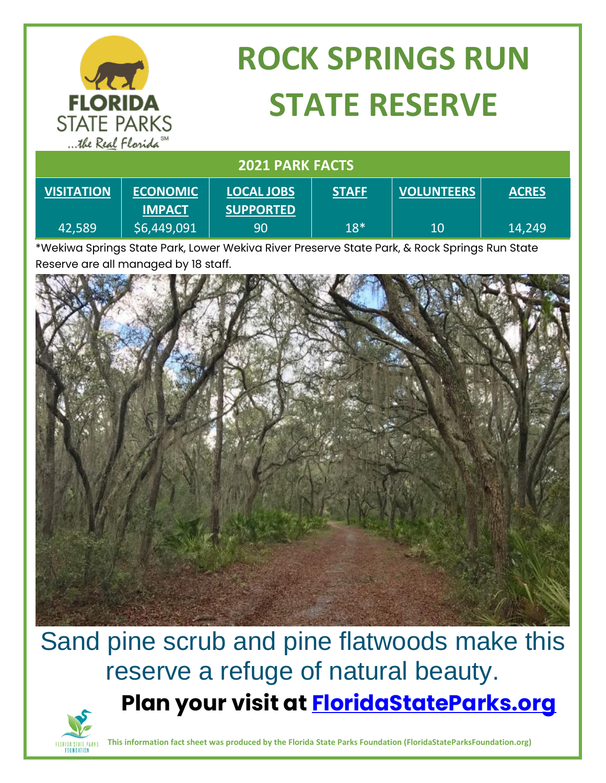| <b>FLORIDA</b><br><b>STATE PARKS</b><br>the Real Florida <sup>SM</sup> |                                  | <b>ROCK SPRINGS RUN</b><br><b>STATE RESERVE</b> |              |                   |              |
|------------------------------------------------------------------------|----------------------------------|-------------------------------------------------|--------------|-------------------|--------------|
| <b>2021 PARK FACTS</b>                                                 |                                  |                                                 |              |                   |              |
| <b>VISITATION</b>                                                      | <b>ECONOMIC</b><br><b>IMPACT</b> | <b>LOCAL JOBS</b><br><b>SUPPORTED</b>           | <b>STAFF</b> | <b>VOLUNTEERS</b> | <b>ACRES</b> |
| 42,589                                                                 | \$6,449,091                      | 90                                              | $18*$        | 10                | 14,249       |

\*Wekiwa Springs State Park, Lower Wekiva River Preserve State Park, & Rock Springs Run State Reserve are all managed by 18 staff.



## Sand pine scrub and pine flatwoods make this reserve a refuge of natural beauty. **Plan your visit at [FloridaStateParks.org](http://www.floridastateparks.org/)**



**This information fact sheet was produced by the Florida State Parks Foundation (FloridaStateParksFoundation.org)**